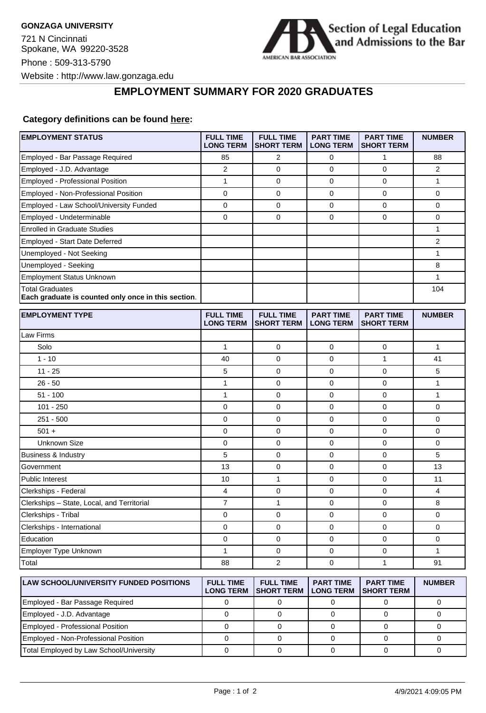721 N Cincinnati Spokane, WA 99220-3528 Phone : 509-313-5790 Website : http://www.law.gonzaga.edu



## **EMPLOYMENT SUMMARY FOR 2020 GRADUATES**

## **Category definitions can be found [here:](https://www.americanbar.org/content/dam/aba/administrative/legal_education_and_admissions_to_the_bar/Questionnaires/employment-protocol-class-of-2020.pdf)**

| <b>EMPLOYMENT STATUS</b>                                               | <b>FULL TIME</b><br><b>LONG TERM</b> | <b>FULL TIME</b><br><b>SHORT TERM</b> | <b>PART TIME</b><br><b>LONG TERM</b> | <b>PART TIME</b><br><b>SHORT TERM</b> | <b>NUMBER</b>  |
|------------------------------------------------------------------------|--------------------------------------|---------------------------------------|--------------------------------------|---------------------------------------|----------------|
| Employed - Bar Passage Required                                        | 85                                   | 2                                     | 0                                    | 1                                     | 88             |
| Employed - J.D. Advantage                                              | 2                                    | $\mathbf 0$                           | 0                                    | $\mathbf 0$                           | $\overline{2}$ |
| <b>Employed - Professional Position</b>                                | 1                                    | $\mathbf 0$                           | 0                                    | $\mathbf 0$                           | $\mathbf{1}$   |
| Employed - Non-Professional Position                                   | 0                                    | 0                                     | 0                                    | 0                                     | 0              |
| Employed - Law School/University Funded                                | 0                                    | $\mathbf 0$                           | 0                                    | $\mathbf 0$                           | 0              |
| Employed - Undeterminable                                              | 0                                    | $\mathbf 0$                           | 0                                    | 0                                     | 0              |
| <b>Enrolled in Graduate Studies</b>                                    |                                      |                                       |                                      |                                       | 1              |
| <b>Employed - Start Date Deferred</b>                                  |                                      |                                       |                                      |                                       | $\overline{2}$ |
| Unemployed - Not Seeking                                               |                                      |                                       |                                      |                                       | 1              |
| Unemployed - Seeking                                                   |                                      |                                       |                                      |                                       | 8              |
| <b>Employment Status Unknown</b>                                       |                                      |                                       |                                      |                                       | $\mathbf{1}$   |
| Total Graduates<br>Each graduate is counted only once in this section. |                                      |                                       |                                      |                                       | 104            |
| <b>EMPLOYMENT TYPE</b>                                                 | <b>FULL TIME</b><br><b>LONG TERM</b> | <b>FULL TIME</b><br><b>SHORT TERM</b> | <b>PART TIME</b><br><b>LONG TERM</b> | <b>PART TIME</b><br><b>SHORT TERM</b> | <b>NUMBER</b>  |
| Law Firms                                                              |                                      |                                       |                                      |                                       |                |
| Solo                                                                   | 1                                    | 0                                     | 0                                    | 0                                     | 1              |
| $1 - 10$                                                               | 40                                   | $\mathbf 0$                           | 0                                    | 1                                     | 41             |
| $11 - 25$                                                              | 5                                    | $\mathbf 0$                           | 0                                    | $\mathbf 0$                           | 5              |
| $26 - 50$                                                              | 1                                    | 0                                     | 0                                    | $\mathbf 0$                           | $\mathbf{1}$   |
| $51 - 100$                                                             | 1                                    | 0                                     | 0                                    | 0                                     | 1              |
| $101 - 250$                                                            | 0                                    | 0                                     | 0                                    | 0                                     | 0              |
| $251 - 500$                                                            | 0                                    | $\mathbf 0$                           | 0                                    | $\mathbf 0$                           | 0              |
| $501 +$                                                                | 0                                    | $\mathbf 0$                           | 0                                    | $\mathbf 0$                           | 0              |
| Unknown Size                                                           | 0                                    | $\mathbf 0$                           | 0                                    | $\mathbf 0$                           | 0              |
| Business & Industry                                                    | 5                                    | 0                                     | 0                                    | 0                                     | 5              |
| Government                                                             | 13                                   | $\mathbf 0$                           | 0                                    | 0                                     | 13             |
| <b>Public Interest</b>                                                 | 10                                   | $\mathbf{1}$                          | 0                                    | $\mathbf 0$                           | 11             |
| Clerkships - Federal                                                   | 4                                    | 0                                     | 0                                    | 0                                     | 4              |
| Clerkships - State, Local, and Territorial                             | 7                                    | $\mathbf{1}$                          | 0                                    | 0                                     | 8              |
| Clerkships - Tribal                                                    | 0                                    | 0                                     | 0                                    | 0                                     | 0              |
| Clerkships - International                                             | 0                                    | $\mathbf 0$                           | 0                                    | 0                                     | 0              |
| Education                                                              | 0                                    | $\mathbf 0$                           | 0                                    | $\mathbf 0$                           | 0              |
| Employer Type Unknown                                                  | 1                                    | $\mathbf 0$                           | 0                                    | 0                                     | $\mathbf{1}$   |
| Total                                                                  | 88                                   | $\overline{2}$                        | 0                                    | $\mathbf{1}$                          | 91             |
| <b>LAW SCHOOL/UNIVERSITY FUNDED POSITIONS</b>                          | <b>FULL TIME</b><br><b>LONG TERM</b> | <b>FULL TIME</b><br><b>SHORT TERM</b> | <b>PART TIME</b><br><b>LONG TERM</b> | <b>PART TIME</b><br><b>SHORT TERM</b> | <b>NUMBER</b>  |
| Employed - Bar Passage Required                                        | 0                                    | 0                                     | 0                                    | 0                                     | 0              |
| Employed - J.D. Advantage                                              | $\mathbf 0$                          | 0                                     | 0                                    | $\mathbf 0$                           | $\mathbf 0$    |

Employed - Professional Position 0 0 0 0 0 Employed - Non-Professional Position 0 0 0 0 0 Total Employed by Law School/University 0 0 0 0 0